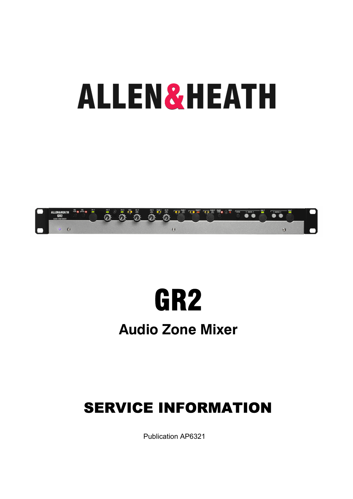# **ALLEN&HEATH**





## **Audio Zone Mixer**

## SERVICE INFORMATION

Publication AP6321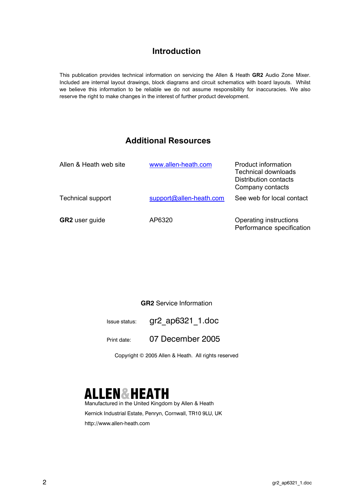#### **Introduction**

This publication provides technical information on servicing the Allen & Heath **GR2** Audio Zone Mixer. Included are internal layout drawings, block diagrams and circuit schematics with board layouts. Whilst we believe this information to be reliable we do not assume responsibility for inaccuracies. We also reserve the right to make changes in the interest of further product development.

#### **Additional Resources**

| Allen & Heath web site   | www.allen-heath.com     | Product information<br>Technical downloads<br><b>Distribution contacts</b><br>Company contacts |
|--------------------------|-------------------------|------------------------------------------------------------------------------------------------|
| <b>Technical support</b> | support@allen-heath.com | See web for local contact                                                                      |
| <b>GR2</b> user guide    | AP6320                  | Operating instructions<br>Performance specification                                            |

#### **GR2** Service Information

Issue status: gr2\_ap6321\_1.doc

Print date: 07 December 2005

Copyright © 2005 Allen & Heath. All rights reserved



Manufactured in the United Kingdom by Allen & Heath Kernick Industrial Estate, Penryn, Cornwall, TR10 9LU, UK http://www.allen-heath.com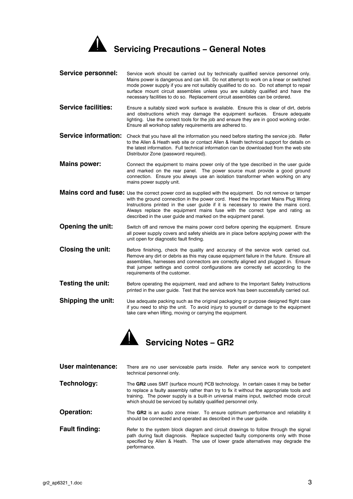

| <b>Service personnel:</b>   | Service work should be carried out by technically qualified service personnel only.<br>Mains power is dangerous and can kill. Do not attempt to work on a linear or switched<br>mode power supply if you are not suitably qualified to do so. Do not attempt to repair<br>surface mount circuit assemblies unless you are suitably qualified and have the<br>necessary facilities to do so. Replacement circuit assemblies can be ordered. |
|-----------------------------|--------------------------------------------------------------------------------------------------------------------------------------------------------------------------------------------------------------------------------------------------------------------------------------------------------------------------------------------------------------------------------------------------------------------------------------------|
| <b>Service facilities:</b>  | Ensure a suitably sized work surface is available. Ensure this is clear of dirt, debris<br>and obstructions which may damage the equipment surfaces. Ensure adequate<br>lighting. Use the correct tools for the job and ensure they are in good working order.<br>Ensure all workshop safety requirements are adhered to.                                                                                                                  |
| <b>Service information:</b> | Check that you have all the information you need before starting the service job. Refer<br>to the Allen & Heath web site or contact Allen & Heath technical support for details on<br>the latest information. Full technical information can be downloaded from the web site<br>Distributor Zone (password required).                                                                                                                      |
| <b>Mains power:</b>         | Connect the equipment to mains power only of the type described in the user guide<br>and marked on the rear panel. The power source must provide a good ground<br>connection. Ensure you always use an isolation transformer when working on any<br>mains power supply unit.                                                                                                                                                               |
|                             | Mains cord and fuse: Use the correct power cord as supplied with the equipment. Do not remove or tamper<br>with the ground connection in the power cord. Heed the Important Mains Plug Wiring<br>Instructions printed in the user quide if it is necessary to rewire the mains cord.<br>Always replace the equipment mains fuse with the correct type and rating as<br>described in the user guide and marked on the equipment panel.      |
|                             |                                                                                                                                                                                                                                                                                                                                                                                                                                            |

- **Opening the unit:** Switch off and remove the mains power cord before opening the equipment. Ensure all power supply covers and safety shields are in place before applying power with the unit open for diagnostic fault finding.
- **Closing the unit:** Before finishing, check the quality and accuracy of the service work carried out. Remove any dirt or debris as this may cause equipment failure in the future. Ensure all assemblies, harnesses and connectors are correctly aligned and plugged in. Ensure that jumper settings and control configurations are correctly set according to the requirements of the customer.
- **Testing the unit:** Before operating the equipment, read and adhere to the Important Safety Instructions printed in the user guide. Test that the service work has been successfully carried out.
- **Shipping the unit:** Use adequate packing such as the original packaging or purpose designed flight case if you need to ship the unit. To avoid injury to yourself or damage to the equipment take care when lifting, moving or carrying the equipment.



| User maintenance:     | There are no user serviceable parts inside. Refer any service work to competent<br>technical personnel only.                                                                                                                                                                                                                              |  |  |  |
|-----------------------|-------------------------------------------------------------------------------------------------------------------------------------------------------------------------------------------------------------------------------------------------------------------------------------------------------------------------------------------|--|--|--|
| Technology:           | The GR2 uses SMT (surface mount) PCB technology. In certain cases it may be better<br>to replace a faulty assembly rather than try to fix it without the appropriate tools and<br>training. The power supply is a built-in universal mains input, switched mode circuit<br>which should be serviced by suitably qualified personnel only. |  |  |  |
| <b>Operation:</b>     | The GR2 is an audio zone mixer. To ensure optimum performance and reliability it<br>should be connected and operated as described in the user quide.                                                                                                                                                                                      |  |  |  |
| <b>Fault finding:</b> | Refer to the system block diagram and circuit drawings to follow through the signal<br>path during fault diagnosis. Replace suspected faulty components only with those<br>specified by Allen & Heath. The use of lower grade alternatives may degrade the<br>performance.                                                                |  |  |  |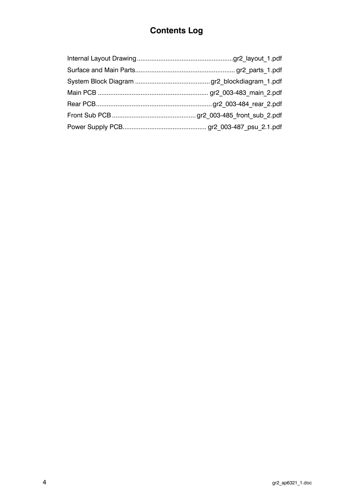### **Contents Log**